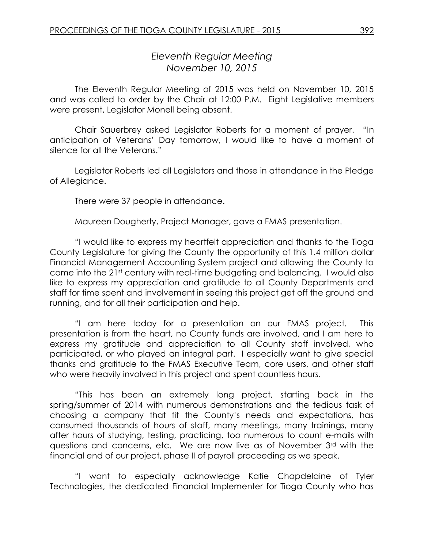# *Eleventh Regular Meeting November 10, 2015*

The Eleventh Regular Meeting of 2015 was held on November 10, 2015 and was called to order by the Chair at 12:00 P.M. Eight Legislative members were present, Legislator Monell being absent.

Chair Sauerbrey asked Legislator Roberts for a moment of prayer. "In anticipation of Veterans' Day tomorrow, I would like to have a moment of silence for all the Veterans."

Legislator Roberts led all Legislators and those in attendance in the Pledge of Allegiance.

There were 37 people in attendance.

Maureen Dougherty, Project Manager, gave a FMAS presentation.

"I would like to express my heartfelt appreciation and thanks to the Tioga County Legislature for giving the County the opportunity of this 1.4 million dollar Financial Management Accounting System project and allowing the County to come into the 21st century with real-time budgeting and balancing. I would also like to express my appreciation and gratitude to all County Departments and staff for time spent and involvement in seeing this project get off the ground and running, and for all their participation and help.

"I am here today for a presentation on our FMAS project. This presentation is from the heart, no County funds are involved, and I am here to express my gratitude and appreciation to all County staff involved, who participated, or who played an integral part. I especially want to give special thanks and gratitude to the FMAS Executive Team, core users, and other staff who were heavily involved in this project and spent countless hours.

"This has been an extremely long project, starting back in the spring/summer of 2014 with numerous demonstrations and the tedious task of choosing a company that fit the County's needs and expectations, has consumed thousands of hours of staff, many meetings, many trainings, many after hours of studying, testing, practicing, too numerous to count e-mails with questions and concerns, etc. We are now live as of November 3rd with the financial end of our project, phase II of payroll proceeding as we speak.

"I want to especially acknowledge Katie Chapdelaine of Tyler Technologies, the dedicated Financial Implementer for Tioga County who has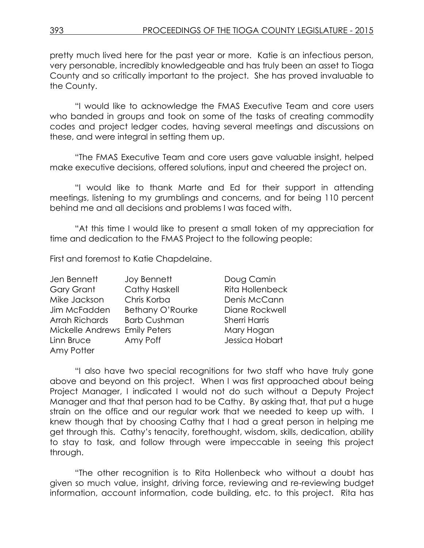pretty much lived here for the past year or more. Katie is an infectious person, very personable, incredibly knowledgeable and has truly been an asset to Tioga County and so critically important to the project. She has proved invaluable to the County.

"I would like to acknowledge the FMAS Executive Team and core users who banded in groups and took on some of the tasks of creating commodity codes and project ledger codes, having several meetings and discussions on these, and were integral in setting them up.

"The FMAS Executive Team and core users gave valuable insight, helped make executive decisions, offered solutions, input and cheered the project on.

"I would like to thank Marte and Ed for their support in attending meetings, listening to my grumblings and concerns, and for being 110 percent behind me and all decisions and problems I was faced with.

"At this time I would like to present a small token of my appreciation for time and dedication to the FMAS Project to the following people:

First and foremost to Katie Chapdelaine.

| Jen Bennett                   | <b>Joy Bennett</b>   |
|-------------------------------|----------------------|
| Gary Grant                    | <b>Cathy Haskell</b> |
| Mike Jackson                  | Chris Korba          |
| Jim McFadden                  | Bethany O'Rourke     |
| Arrah Richards                | <b>Barb Cushman</b>  |
| Mickelle Andrews Emily Peters |                      |
| Linn Bruce                    | Amy Poff             |
| Amy Potter                    |                      |

Doug Camin Rita Hollenbeck Denis McCann Diane Rockwell Sherri Harris Mary Hogan Jessica Hobart

"I also have two special recognitions for two staff who have truly gone above and beyond on this project. When I was first approached about being Project Manager, I indicated I would not do such without a Deputy Project Manager and that that person had to be Cathy. By asking that, that put a huge strain on the office and our regular work that we needed to keep up with. I knew though that by choosing Cathy that I had a great person in helping me get through this. Cathy's tenacity, forethought, wisdom, skills, dedication, ability to stay to task, and follow through were impeccable in seeing this project through.

"The other recognition is to Rita Hollenbeck who without a doubt has given so much value, insight, driving force, reviewing and re-reviewing budget information, account information, code building, etc. to this project. Rita has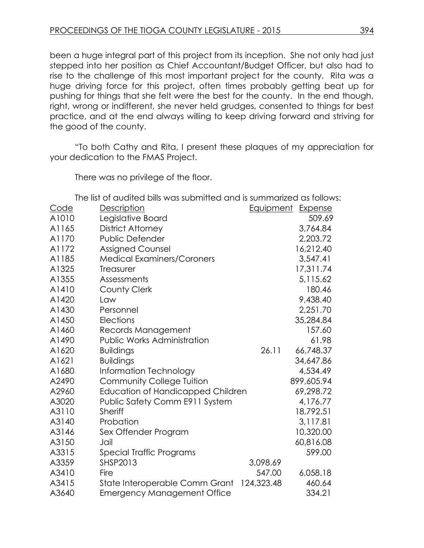been a huge integral part of this project from its inception. She not only had just stepped into her position as Chief Accountant/Budget Officer, but also had to rise to the challenge of this most important project for the county. Rita was a huge driving force for this project, often times probably getting beat up for pushing for things that she felt were the best for the county. In the end though, right, wrong or indifferent, she never held grudges, consented to things for best practice, and at the end always willing to keep driving forward and striving for the good of the county.

"To both Cathy and Rita, I present these plaques of my appreciation for your dedication to the FMAS Project.

There was no privilege of the floor.

The list of audited bills was submitted and is summarized as follows:

| <u>Code</u> | Description                        |            | <b>Equipment Expense</b> |
|-------------|------------------------------------|------------|--------------------------|
| A1010       | Legislative Board                  |            | 509.69                   |
| A1165       | District Attorney                  |            | 3,764.84                 |
| A1170       | <b>Public Defender</b>             |            | 2,203.72                 |
| A1172       | <b>Assigned Counsel</b>            |            | 16,212.40                |
| A1185       | <b>Medical Examiners/Coroners</b>  |            | 3,547.41                 |
| A1325       | Treasurer                          |            | 17,311.74                |
| A1355       | Assessments                        |            | 5,115.62                 |
| A1410       | <b>County Clerk</b>                |            | 180.46                   |
| A1420       | Law                                |            | 9,438.40                 |
| A1430       | Personnel                          |            | 2,251.70                 |
| A1450       | Elections                          |            | 35,284.84                |
| A1460       | Records Management                 |            | 157.60                   |
| A1490       | <b>Public Works Administration</b> |            | 61.98                    |
| A1620       | <b>Buildings</b>                   | 26.11      | 66,748.37                |
| A1621       | <b>Buildings</b>                   |            | 34,647.86                |
| A1680       | Information Technology             |            | 4,534.49                 |
| A2490       | <b>Community College Tuition</b>   |            | 899,605.94               |
| A2960       | Education of Handicapped Children  |            | 69,298.72                |
| A3020       | Public Safety Comm E911 System     |            | 4,176.77                 |
| A3110       | Sheriff                            |            | 18,792.51                |
| A3140       | Probation                          |            | 3,117.81                 |
| A3146       | Sex Offender Program               |            | 10,320.00                |
| A3150       | Jail                               |            | 60,816.08                |
| A3315       | Special Traffic Programs           |            | 599.00                   |
| A3359       | <b>SHSP2013</b>                    | 3,098.69   |                          |
| A3410       | Fire                               | 547.00     | 6,058.18                 |
| A3415       | State Interoperable Comm Grant     | 124,323.48 | 460.64                   |
| A3640       | <b>Emergency Management Office</b> |            | 334.21                   |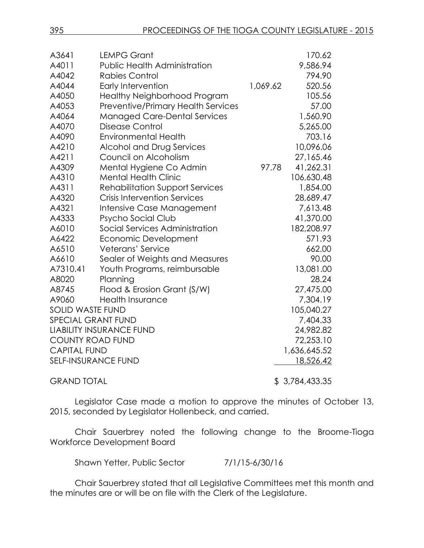| A3641                           | <b>LEMPG Grant</b>                     |          | 170.62       |
|---------------------------------|----------------------------------------|----------|--------------|
| A4011                           | <b>Public Health Administration</b>    |          | 9,586.94     |
| A4042                           | <b>Rabies Control</b>                  |          | 794.90       |
| A4044                           | <b>Early Intervention</b>              | 1,069.62 | 520.56       |
| A4050                           | <b>Healthy Neighborhood Program</b>    |          | 105.56       |
| A4053                           | Preventive/Primary Health Services     |          | 57.00        |
| A4064                           | <b>Managed Care-Dental Services</b>    |          | 1,560.90     |
| A4070                           | Disease Control                        |          | 5,265.00     |
| A4090                           | <b>Environmental Health</b>            |          | 703.16       |
| A4210                           | Alcohol and Drug Services              |          | 10,096.06    |
| A4211                           | Council on Alcoholism                  |          | 27,165.46    |
| A4309                           | Mental Hygiene Co Admin                | 97.78    | 41,262.31    |
| A4310                           | <b>Mental Health Clinic</b>            |          | 106,630.48   |
| A4311                           | <b>Rehabilitation Support Services</b> |          | 1,854.00     |
| A4320                           | <b>Crisis Intervention Services</b>    |          | 28,689.47    |
| A4321                           | Intensive Case Management              |          | 7,613.48     |
| A4333                           | Psycho Social Club                     |          | 41,370.00    |
| A6010                           | Social Services Administration         |          | 182,208.97   |
| A6422                           | Economic Development                   |          | 571.93       |
| A6510                           | Veterans' Service                      |          | 662.00       |
| A6610                           | Sealer of Weights and Measures         |          | 90.00        |
| A7310.41                        | Youth Programs, reimbursable           |          | 13,081.00    |
| A8020                           | Planning                               |          | 28.24        |
| A8745                           | Flood & Erosion Grant (S/W)            |          | 27,475.00    |
| A9060                           | <b>Health Insurance</b>                |          | 7,304.19     |
| <b>SOLID WASTE FUND</b>         |                                        |          | 105,040.27   |
| SPECIAL GRANT FUND              |                                        |          | 7,404.33     |
| <b>LIABILITY INSURANCE FUND</b> |                                        |          | 24,982.82    |
| <b>COUNTY ROAD FUND</b>         |                                        |          | 72,253.10    |
| <b>CAPITAL FUND</b>             |                                        |          | 1,636,645.52 |
|                                 | <b>SELF-INSURANCE FUND</b>             |          | 18,526.42    |
|                                 |                                        |          |              |

GRAND TOTAL \$ 3,784,433.35

Legislator Case made a motion to approve the minutes of October 13, 2015, seconded by Legislator Hollenbeck, and carried.

Chair Sauerbrey noted the following change to the Broome-Tioga Workforce Development Board

Shawn Yetter, Public Sector 7/1/15-6/30/16

Chair Sauerbrey stated that all Legislative Committees met this month and the minutes are or will be on file with the Clerk of the Legislature.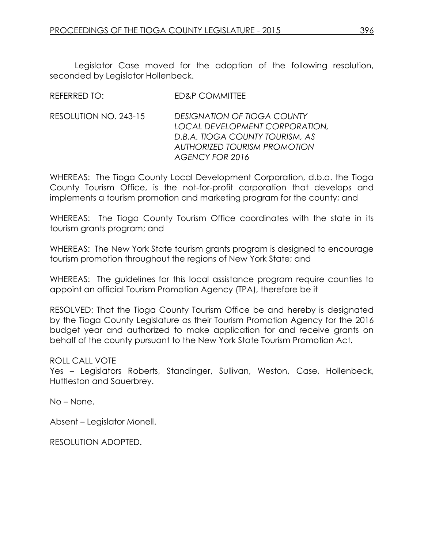REFERRED TO: ED&P COMMITTEE

Legislator Case moved for the adoption of the following resolution, seconded by Legislator Hollenbeck.

|                       | _____________________                                                                                                                                      |
|-----------------------|------------------------------------------------------------------------------------------------------------------------------------------------------------|
| RESOLUTION NO. 243-15 | DESIGNATION OF TIOGA COUNTY<br>LOCAL DEVELOPMENT CORPORATION,<br>D.B.A. TIOGA COUNTY TOURISM, AS<br><b>AUTHORIZED TOURISM PROMOTION</b><br>AGENCY FOR 2016 |
|                       |                                                                                                                                                            |

WHEREAS: The Tioga County Local Development Corporation, d.b.a. the Tioga County Tourism Office, is the not-for-profit corporation that develops and implements a tourism promotion and marketing program for the county; and

WHEREAS: The Tioga County Tourism Office coordinates with the state in its tourism grants program; and

WHEREAS: The New York State tourism grants program is designed to encourage tourism promotion throughout the regions of New York State; and

WHEREAS: The guidelines for this local assistance program require counties to appoint an official Tourism Promotion Agency (TPA), therefore be it

RESOLVED: That the Tioga County Tourism Office be and hereby is designated by the Tioga County Legislature as their Tourism Promotion Agency for the 2016 budget year and authorized to make application for and receive grants on behalf of the county pursuant to the New York State Tourism Promotion Act.

# ROLL CALL VOTE

Yes – Legislators Roberts, Standinger, Sullivan, Weston, Case, Hollenbeck, Huttleston and Sauerbrey.

No – None.

Absent – Legislator Monell.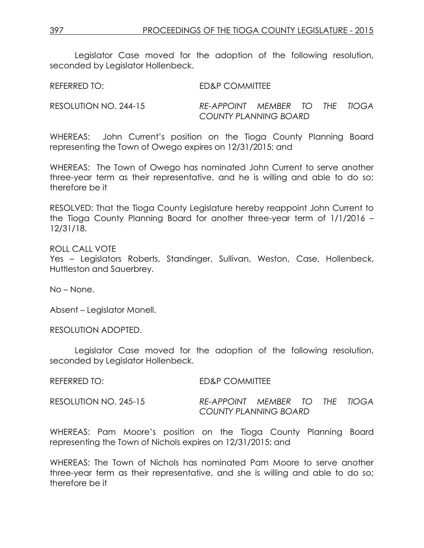Legislator Case moved for the adoption of the following resolution, seconded by Legislator Hollenbeck.

| REFERRED TO: | <b>ED&amp;P COMMITTEE</b> |
|--------------|---------------------------|
|              |                           |

RESOLUTION NO. 244-15 *RE-APPOINT MEMBER TO THE TIOGA COUNTY PLANNING BOARD*

WHEREAS: John Current's position on the Tioga County Planning Board representing the Town of Owego expires on 12/31/2015; and

WHEREAS: The Town of Owego has nominated John Current to serve another three-year term as their representative, and he is willing and able to do so; therefore be it

RESOLVED: That the Tioga County Legislature hereby reappoint John Current to the Tioga County Planning Board for another three-year term of 1/1/2016 – 12/31/18.

ROLL CALL VOTE

Yes – Legislators Roberts, Standinger, Sullivan, Weston, Case, Hollenbeck, Huttleston and Sauerbrey.

No – None.

Absent – Legislator Monell.

RESOLUTION ADOPTED.

Legislator Case moved for the adoption of the following resolution, seconded by Legislator Hollenbeck.

| REFERRED TO:          | ED&P COMMITTEE                 |  |  |
|-----------------------|--------------------------------|--|--|
| RESOLUTION NO. 245-15 | RE-APPOINT MEMBER TO THE TIOGA |  |  |

WHEREAS: Pam Moore's position on the Tioga County Planning Board representing the Town of Nichols expires on 12/31/2015; and

*COUNTY PLANNING BOARD*

WHEREAS: The Town of Nichols has nominated Pam Moore to serve another three-year term as their representative, and she is willing and able to do so; therefore be it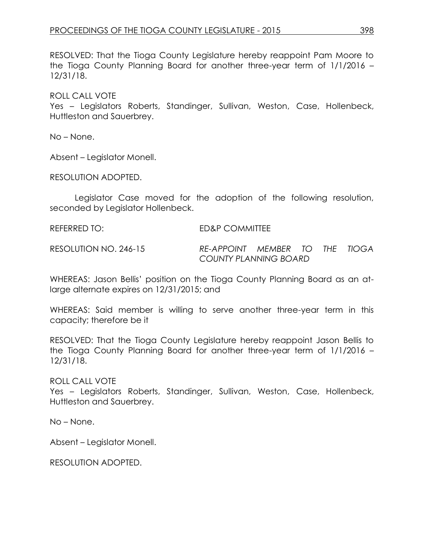RESOLVED: That the Tioga County Legislature hereby reappoint Pam Moore to the Tioga County Planning Board for another three-year term of 1/1/2016 – 12/31/18.

ROLL CALL VOTE

Yes – Legislators Roberts, Standinger, Sullivan, Weston, Case, Hollenbeck, Huttleston and Sauerbrey.

No – None.

Absent – Legislator Monell.

RESOLUTION ADOPTED.

Legislator Case moved for the adoption of the following resolution, seconded by Legislator Hollenbeck.

REFERRED TO: ED&P COMMITTEE

RESOLUTION NO. 246-15 *RE-APPOINT MEMBER TO THE TIOGA COUNTY PLANNING BOARD*

WHEREAS: Jason Bellis' position on the Tioga County Planning Board as an atlarge alternate expires on 12/31/2015; and

WHEREAS: Said member is willing to serve another three-year term in this capacity; therefore be it

RESOLVED: That the Tioga County Legislature hereby reappoint Jason Bellis to the Tioga County Planning Board for another three-year term of 1/1/2016 – 12/31/18.

ROLL CALL VOTE

Yes – Legislators Roberts, Standinger, Sullivan, Weston, Case, Hollenbeck, Huttleston and Sauerbrey.

No – None.

Absent – Legislator Monell.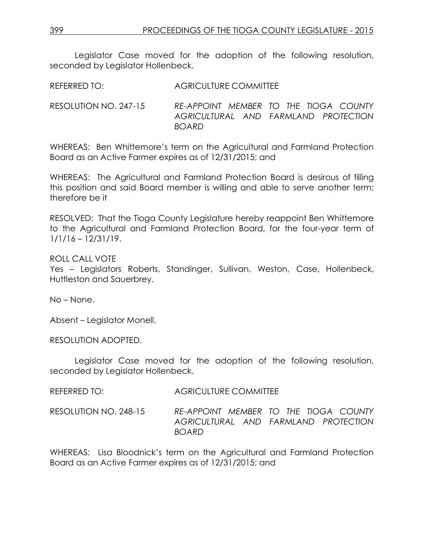Legislator Case moved for the adoption of the following resolution, seconded by Legislator Hollenbeck.

REFERRED TO: AGRICULTURE COMMITTEE

RESOLUTION NO. 247-15 *RE-APPOINT MEMBER TO THE TIOGA COUNTY AGRICULTURAL AND FARMLAND PROTECTION BOARD*

WHEREAS: Ben Whittemore's term on the Agricultural and Farmland Protection Board as an Active Farmer expires as of 12/31/2015; and

WHEREAS: The Agricultural and Farmland Protection Board is desirous of filling this position and said Board member is willing and able to serve another term; therefore be it

RESOLVED: That the Tioga County Legislature hereby reappoint Ben Whittemore to the Agricultural and Farmland Protection Board, for the four-year term of 1/1/16 – 12/31/19.

ROLL CALL VOTE

Yes – Legislators Roberts, Standinger, Sullivan, Weston, Case, Hollenbeck, Huttleston and Sauerbrey.

No – None.

Absent – Legislator Monell.

RESOLUTION ADOPTED.

Legislator Case moved for the adoption of the following resolution, seconded by Legislator Hollenbeck.

REFERRED TO: AGRICULTURE COMMITTEE

RESOLUTION NO. 248-15 *RE-APPOINT MEMBER TO THE TIOGA COUNTY AGRICULTURAL AND FARMLAND PROTECTION BOARD*

WHEREAS: Lisa Bloodnick's term on the Agricultural and Farmland Protection Board as an Active Farmer expires as of 12/31/2015; and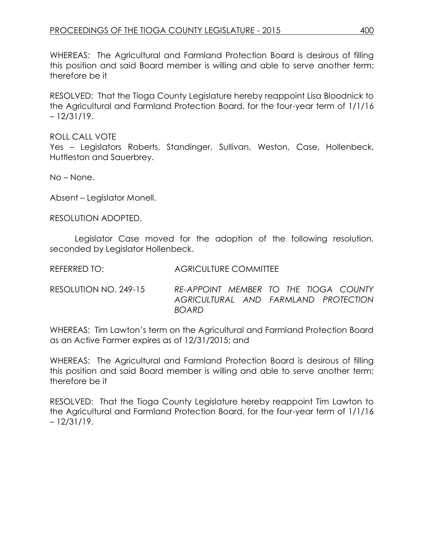WHEREAS: The Agricultural and Farmland Protection Board is desirous of filling this position and said Board member is willing and able to serve another term; therefore be it

RESOLVED: That the Tioga County Legislature hereby reappoint Lisa Bloodnick to the Agricultural and Farmland Protection Board, for the four-year term of 1/1/16 – 12/31/19.

ROLL CALL VOTE Yes – Legislators Roberts, Standinger, Sullivan, Weston, Case, Hollenbeck, Huttleston and Sauerbrey.

No – None.

Absent – Legislator Monell.

RESOLUTION ADOPTED.

Legislator Case moved for the adoption of the following resolution, seconded by Legislator Hollenbeck.

REFERRED TO: AGRICULTURE COMMITTEE

RESOLUTION NO. 249-15 *RE-APPOINT MEMBER TO THE TIOGA COUNTY AGRICULTURAL AND FARMLAND PROTECTION BOARD*

WHEREAS: Tim Lawton's term on the Agricultural and Farmland Protection Board as an Active Farmer expires as of 12/31/2015; and

WHEREAS: The Agricultural and Farmland Protection Board is desirous of filling this position and said Board member is willing and able to serve another term; therefore be it

RESOLVED: That the Tioga County Legislature hereby reappoint Tim Lawton to the Agricultural and Farmland Protection Board, for the four-year term of 1/1/16 – 12/31/19.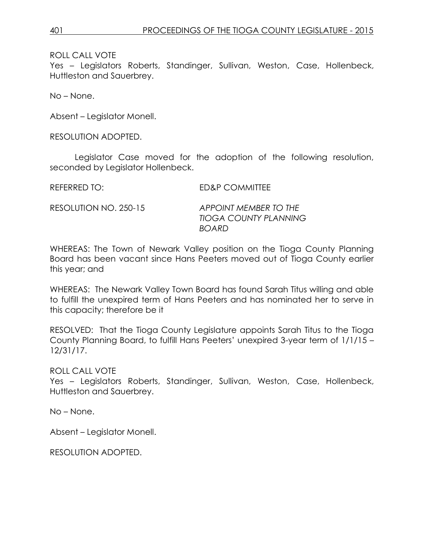Yes – Legislators Roberts, Standinger, Sullivan, Weston, Case, Hollenbeck, Huttleston and Sauerbrey.

No – None.

Absent – Legislator Monell.

RESOLUTION ADOPTED.

Legislator Case moved for the adoption of the following resolution, seconded by Legislator Hollenbeck.

REFERRED TO: ED&P COMMITTEE

RESOLUTION NO. 250-15 *APPOINT MEMBER TO THE TIOGA COUNTY PLANNING BOARD*

WHEREAS: The Town of Newark Valley position on the Tioga County Planning Board has been vacant since Hans Peeters moved out of Tioga County earlier this year; and

WHEREAS: The Newark Valley Town Board has found Sarah Titus willing and able to fulfill the unexpired term of Hans Peeters and has nominated her to serve in this capacity; therefore be it

RESOLVED: That the Tioga County Legislature appoints Sarah Titus to the Tioga County Planning Board, to fulfill Hans Peeters' unexpired 3-year term of 1/1/15 – 12/31/17.

ROLL CALL VOTE

Yes – Legislators Roberts, Standinger, Sullivan, Weston, Case, Hollenbeck, Huttleston and Sauerbrey.

No – None.

Absent – Legislator Monell.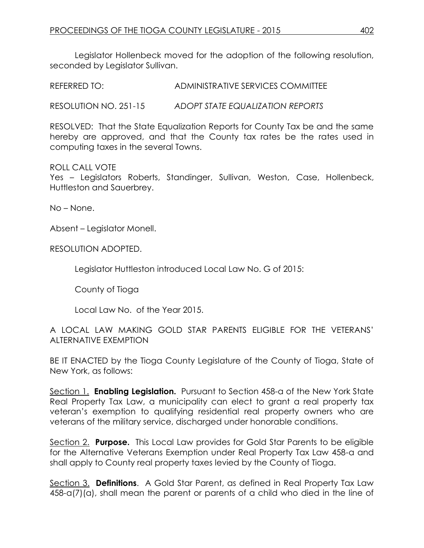Legislator Hollenbeck moved for the adoption of the following resolution, seconded by Legislator Sullivan.

REFERRED TO: ADMINISTRATIVE SERVICES COMMITTEE

RESOLUTION NO. 251-15 *ADOPT STATE EQUALIZATION REPORTS*

RESOLVED: That the State Equalization Reports for County Tax be and the same hereby are approved, and that the County tax rates be the rates used in computing taxes in the several Towns.

### ROLL CALL VOTE

Yes – Legislators Roberts, Standinger, Sullivan, Weston, Case, Hollenbeck, Huttleston and Sauerbrey.

No – None.

Absent – Legislator Monell.

RESOLUTION ADOPTED.

Legislator Huttleston introduced Local Law No. G of 2015:

County of Tioga

Local Law No. of the Year 2015.

# A LOCAL LAW MAKING GOLD STAR PARENTS ELIGIBLE FOR THE VETERANS' ALTERNATIVE EXEMPTION

BE IT ENACTED by the Tioga County Legislature of the County of Tioga, State of New York, as follows:

Section 1. **Enabling Legislation.** Pursuant to Section 458-a of the New York State Real Property Tax Law, a municipality can elect to grant a real property tax veteran's exemption to qualifying residential real property owners who are veterans of the military service, discharged under honorable conditions.

Section 2. **Purpose.** This Local Law provides for Gold Star Parents to be eligible for the Alternative Veterans Exemption under Real Property Tax Law 458-a and shall apply to County real property taxes levied by the County of Tioga.

Section 3. **Definitions**. A Gold Star Parent, as defined in Real Property Tax Law 458-a(7)(a), shall mean the parent or parents of a child who died in the line of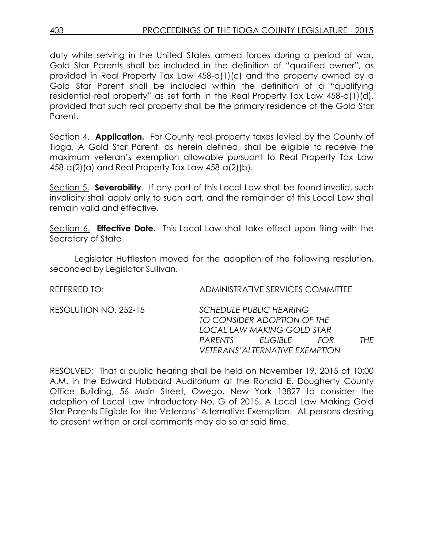duty while serving in the United States armed forces during a period of war. Gold Star Parents shall be included in the definition of "qualified owner", as provided in Real Property Tax Law 458-a(1)(c) and the property owned by a Gold Star Parent shall be included within the definition of a "qualifying residential real property" as set forth in the Real Property Tax Law 458-a(1)(d), provided that such real property shall be the primary residence of the Gold Star Parent.

Section 4. **Application.** For County real property taxes levied by the County of Tioga, A Gold Star Parent, as herein defined, shall be eligible to receive the maximum veteran's exemption allowable pursuant to Real Property Tax Law 458-a(2)(a) and Real Property Tax Law 458-a(2)(b).

Section 5. **Severability**. If any part of this Local Law shall be found invalid, such invalidity shall apply only to such part, and the remainder of this Local Law shall remain valid and effective.

Section 6. **Effective Date.** This Local Law shall take effect upon filing with the Secretary of State

Legislator Huttleston moved for the adoption of the following resolution, seconded by Legislator Sullivan.

REFERRED TO: ADMINISTRATIVE SERVICES COMMITTEE

RESOLUTION NO. 252-15 *SCHEDULE PUBLIC HEARING TO CONSIDER ADOPTION OF THE LOCAL LAW MAKING GOLD STAR PARENTS ELIGIBLE FOR THE VETERANS'ALTERNATIVE EXEMPTION* 

RESOLVED: That a public hearing shall be held on November 19, 2015 at 10:00 A.M. in the Edward Hubbard Auditorium at the Ronald E. Dougherty County Office Building, 56 Main Street, Owego, New York 13827 to consider the adoption of Local Law Introductory No. G of 2015, A Local Law Making Gold Star Parents Eligible for the Veterans' Alternative Exemption. All persons desiring to present written or oral comments may do so at said time.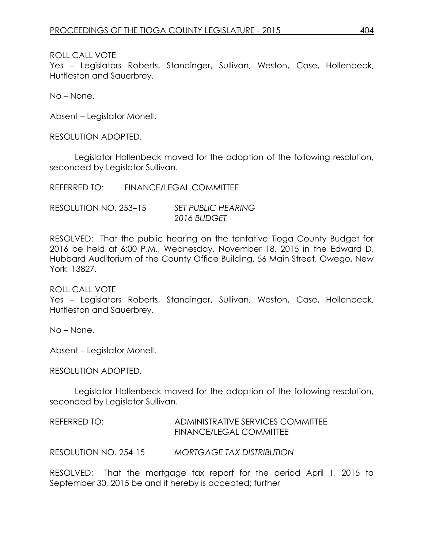Yes – Legislators Roberts, Standinger, Sullivan, Weston, Case, Hollenbeck, Huttleston and Sauerbrey.

No – None.

Absent – Legislator Monell.

RESOLUTION ADOPTED.

Legislator Hollenbeck moved for the adoption of the following resolution, seconded by Legislator Sullivan.

REFERRED TO: FINANCE/LEGAL COMMITTEE

RESOLUTION NO. 253–15 *SET PUBLIC HEARING 2016 BUDGET*

RESOLVED: That the public hearing on the tentative Tioga County Budget for 2016 be held at 6:00 P.M., Wednesday, November 18, 2015 in the Edward D. Hubbard Auditorium of the County Office Building, 56 Main Street, Owego, New York 13827.

### ROLL CALL VOTE

Yes – Legislators Roberts, Standinger, Sullivan, Weston, Case, Hollenbeck, Huttleston and Sauerbrey.

No – None.

Absent – Legislator Monell.

RESOLUTION ADOPTED.

Legislator Hollenbeck moved for the adoption of the following resolution, seconded by Legislator Sullivan.

REFERRED TO: ADMINISTRATIVE SERVICES COMMITTEE FINANCE/LEGAL COMMITTEE

RESOLUTION NO. 254-15 *MORTGAGE TAX DISTRIBUTION*

RESOLVED: That the mortgage tax report for the period April 1, 2015 to September 30, 2015 be and it hereby is accepted; further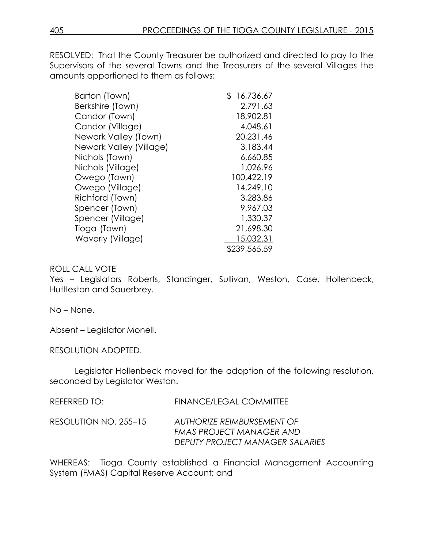RESOLVED: That the County Treasurer be authorized and directed to pay to the Supervisors of the several Towns and the Treasurers of the several Villages the amounts apportioned to them as follows:

| Barton (Town)           | \$<br>16,736.67 |
|-------------------------|-----------------|
| Berkshire (Town)        | 2,791.63        |
| Candor (Town)           | 18,902.81       |
| Candor (Village)        | 4,048.61        |
| Newark Valley (Town)    | 20,231.46       |
| Newark Valley (Village) | 3,183.44        |
| Nichols (Town)          | 6,660.85        |
| Nichols (Village)       | 1,026.96        |
| Owego (Town)            | 100,422.19      |
| Owego (Village)         | 14,249.10       |
| Richford (Town)         | 3,283.86        |
| Spencer (Town)          | 9,967.03        |
| Spencer (Village)       | 1,330.37        |
| Tioga (Town)            | 21,698.30       |
| Waverly (Village)       | 15,032.31       |
|                         | \$239,565.59    |

# ROLL CALL VOTE

Yes – Legislators Roberts, Standinger, Sullivan, Weston, Case, Hollenbeck, Huttleston and Sauerbrey.

No – None.

Absent – Legislator Monell.

RESOLUTION ADOPTED.

Legislator Hollenbeck moved for the adoption of the following resolution, seconded by Legislator Weston.

RESOLUTION NO. 255–15 *AUTHORIZE REIMBURSEMENT OF* 

*FMAS PROJECT MANAGER AND DEPUTY PROJECT MANAGER SALARIES*

WHEREAS: Tioga County established a Financial Management Accounting System (FMAS) Capital Reserve Account; and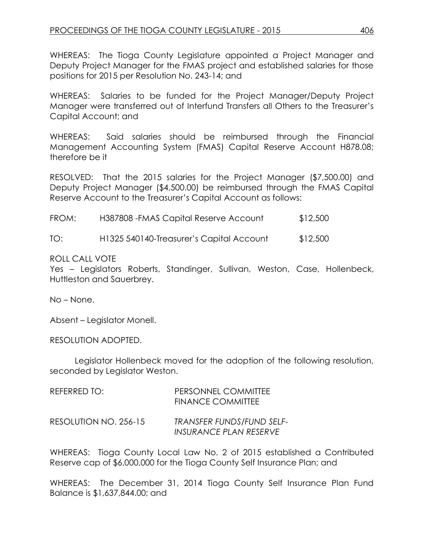WHEREAS: The Tioga County Legislature appointed a Project Manager and Deputy Project Manager for the FMAS project and established salaries for those positions for 2015 per Resolution No. 243-14; and

WHEREAS: Salaries to be funded for the Project Manager/Deputy Project Manager were transferred out of Interfund Transfers all Others to the Treasurer's Capital Account; and

WHEREAS: Said salaries should be reimbursed through the Financial Management Accounting System (FMAS) Capital Reserve Account H878.08; therefore be it

RESOLVED: That the 2015 salaries for the Project Manager (\$7,500.00) and Deputy Project Manager (\$4,500.00) be reimbursed through the FMAS Capital Reserve Account to the Treasurer's Capital Account as follows:

| FROM: | H387808 - FMAS Capital Reserve Account | \$12,500 |
|-------|----------------------------------------|----------|
|-------|----------------------------------------|----------|

TO: H1325 540140-Treasurer's Capital Account \$12,500

### ROLL CALL VOTE

Yes – Legislators Roberts, Standinger, Sullivan, Weston, Case, Hollenbeck, Huttleston and Sauerbrey.

No – None.

Absent – Legislator Monell.

RESOLUTION ADOPTED.

Legislator Hollenbeck moved for the adoption of the following resolution, seconded by Legislator Weston.

| REFERRED TO:          | PERSONNEL COMMITTEE<br><b>FINANCE COMMITTEE</b>     |
|-----------------------|-----------------------------------------------------|
| RESOLUTION NO. 256-15 | TRANSFER FUNDS/FUND SELF-<br>INSURANCE PLAN RESERVE |

WHEREAS: Tioga County Local Law No. 2 of 2015 established a Contributed Reserve cap of \$6,000,000 for the Tioga County Self Insurance Plan; and

WHEREAS: The December 31, 2014 Tioga County Self Insurance Plan Fund Balance is \$1,637,844.00; and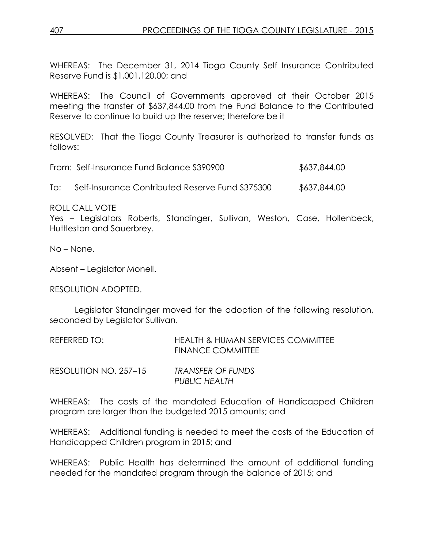WHEREAS: The December 31, 2014 Tioga County Self Insurance Contributed Reserve Fund is \$1,001,120.00; and

WHEREAS: The Council of Governments approved at their October 2015 meeting the transfer of \$637,844.00 from the Fund Balance to the Contributed Reserve to continue to build up the reserve; therefore be it

RESOLVED: That the Tioga County Treasurer is authorized to transfer funds as follows:

| From: Self-Insurance Fund Balance S390900 | \$637,844.00 |
|-------------------------------------------|--------------|
|                                           |              |

To: Self-Insurance Contributed Reserve Fund S375300 \$637,844.00

ROLL CALL VOTE

Yes – Legislators Roberts, Standinger, Sullivan, Weston, Case, Hollenbeck, Huttleston and Sauerbrey.

No – None.

Absent – Legislator Monell.

RESOLUTION ADOPTED.

Legislator Standinger moved for the adoption of the following resolution, seconded by Legislator Sullivan.

| REFERRED TO: | HEALTH & HUMAN SERVICES COMMITTEE |
|--------------|-----------------------------------|
|              | <b>FINANCE COMMITTEE</b>          |
|              |                                   |

| RESOLUTION NO. 257-15 | <b>TRANSFER OF FUNDS</b> |
|-----------------------|--------------------------|
|                       | <b>PUBLIC HEALTH</b>     |

WHEREAS: The costs of the mandated Education of Handicapped Children program are larger than the budgeted 2015 amounts; and

WHEREAS: Additional funding is needed to meet the costs of the Education of Handicapped Children program in 2015; and

WHEREAS: Public Health has determined the amount of additional funding needed for the mandated program through the balance of 2015; and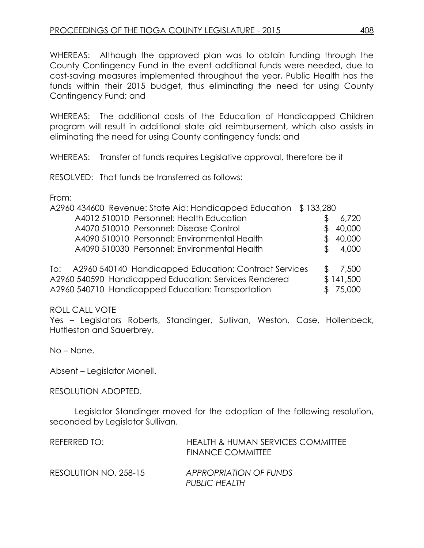WHEREAS: Although the approved plan was to obtain funding through the County Contingency Fund in the event additional funds were needed, due to cost-saving measures implemented throughout the year, Public Health has the funds within their 2015 budget, thus eliminating the need for using County Contingency Fund; and

WHEREAS: The additional costs of the Education of Handicapped Children program will result in additional state aid reimbursement, which also assists in eliminating the need for using County contingency funds; and

WHEREAS: Transfer of funds requires Legislative approval, therefore be it

RESOLVED: That funds be transferred as follows:

From:

| A2960 434600 Revenue: State Aid: Handicapped Education \$133,280 |           |
|------------------------------------------------------------------|-----------|
| A4012 510010 Personnel: Health Education                         | 6,720     |
| A4070 510010 Personnel: Disease Control                          | 40,000    |
| A4090 510010 Personnel: Environmental Health                     | 40,000    |
| A4090 510030 Personnel: Environmental Health                     | 4,000     |
|                                                                  |           |
| To: A2960 540140 Handicapped Education: Contract Services        | 7,500     |
| A2960 540590 Handicapped Education: Services Rendered            | \$141,500 |

A2960 540710 Handicapped Education: Transportation  $$75,000$ 

ROLL CALL VOTE

Yes – Legislators Roberts, Standinger, Sullivan, Weston, Case, Hollenbeck, Huttleston and Sauerbrey.

No – None.

Absent – Legislator Monell.

RESOLUTION ADOPTED.

Legislator Standinger moved for the adoption of the following resolution, seconded by Legislator Sullivan.

| REFERRED TO:          | <b>HEALTH &amp; HUMAN SERVICES COMMITTEE</b><br><b>FINANCE COMMITTEE</b> |
|-----------------------|--------------------------------------------------------------------------|
| RESOLUTION NO. 258-15 | APPROPRIATION OF FUNDS<br>PUBLIC HEALTH                                  |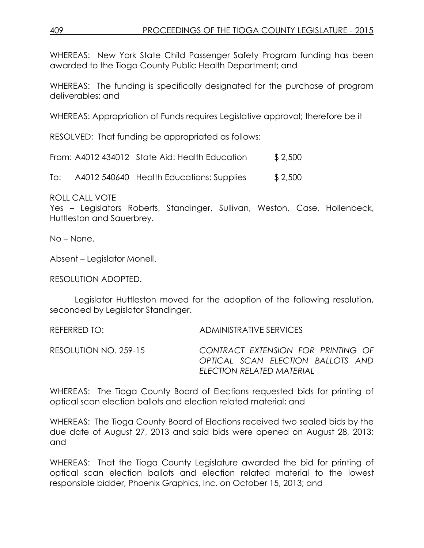WHEREAS: New York State Child Passenger Safety Program funding has been awarded to the Tioga County Public Health Department; and

WHEREAS: The funding is specifically designated for the purchase of program deliverables; and

WHEREAS: Appropriation of Funds requires Legislative approval; therefore be it

RESOLVED: That funding be appropriated as follows:

From: A4012 434012 State Aid: Health Education \$ 2,500

To: A4012 540640 Health Educations: Supplies \$ 2,500

ROLL CALL VOTE

Yes – Legislators Roberts, Standinger, Sullivan, Weston, Case, Hollenbeck, Huttleston and Sauerbrey.

No – None.

Absent – Legislator Monell.

RESOLUTION ADOPTED.

Legislator Huttleston moved for the adoption of the following resolution, seconded by Legislator Standinger.

REFERRED TO: ADMINISTRATIVE SERVICES RESOLUTION NO. 259-15 *CONTRACT EXTENSION FOR PRINTING OF OPTICAL SCAN ELECTION BALLOTS AND ELECTION RELATED MATERIAL*

WHEREAS: The Tioga County Board of Elections requested bids for printing of optical scan election ballots and election related material; and

WHEREAS: The Tioga County Board of Elections received two sealed bids by the due date of August 27, 2013 and said bids were opened on August 28, 2013; and

WHEREAS: That the Tioga County Legislature awarded the bid for printing of optical scan election ballots and election related material to the lowest responsible bidder, Phoenix Graphics, Inc. on October 15, 2013; and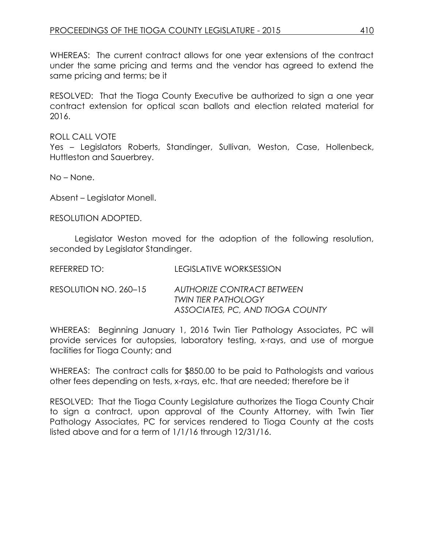WHEREAS: The current contract allows for one year extensions of the contract under the same pricing and terms and the vendor has agreed to extend the same pricing and terms; be it

RESOLVED: That the Tioga County Executive be authorized to sign a one year contract extension for optical scan ballots and election related material for 2016.

ROLL CALL VOTE

Yes – Legislators Roberts, Standinger, Sullivan, Weston, Case, Hollenbeck, Huttleston and Sauerbrey.

No – None.

Absent – Legislator Monell.

RESOLUTION ADOPTED.

Legislator Weston moved for the adoption of the following resolution, seconded by Legislator Standinger.

REFERRED TO: LEGISLATIVE WORKSESSION

RESOLUTION NO. 260–15 *AUTHORIZE CONTRACT BETWEEN TWIN TIER PATHOLOGY ASSOCIATES, PC, AND TIOGA COUNTY*

WHEREAS: Beginning January 1, 2016 Twin Tier Pathology Associates, PC will provide services for autopsies, laboratory testing, x-rays, and use of morgue facilities for Tioga County; and

WHEREAS: The contract calls for \$850.00 to be paid to Pathologists and various other fees depending on tests, x-rays, etc. that are needed; therefore be it

RESOLVED: That the Tioga County Legislature authorizes the Tioga County Chair to sign a contract, upon approval of the County Attorney, with Twin Tier Pathology Associates, PC for services rendered to Tioga County at the costs listed above and for a term of 1/1/16 through 12/31/16.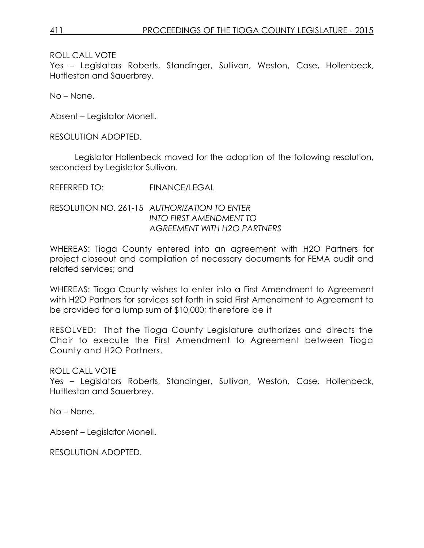Yes – Legislators Roberts, Standinger, Sullivan, Weston, Case, Hollenbeck, Huttleston and Sauerbrey.

No – None.

Absent – Legislator Monell.

RESOLUTION ADOPTED.

Legislator Hollenbeck moved for the adoption of the following resolution, seconded by Legislator Sullivan.

REFERRED TO: FINANCE/LEGAL

RESOLUTION NO. 261-15 *AUTHORIZATION TO ENTER INTO FIRST AMENDMENT TO AGREEMENT WITH H2O PARTNERS*

WHEREAS: Tioga County entered into an agreement with H2O Partners for project closeout and compilation of necessary documents for FEMA audit and related services; and

WHEREAS: Tioga County wishes to enter into a First Amendment to Agreement with H2O Partners for services set forth in said First Amendment to Agreement to be provided for a lump sum of \$10,000; therefore be it

RESOLVED: That the Tioga County Legislature authorizes and directs the Chair to execute the First Amendment to Agreement between Tioga County and H2O Partners.

ROLL CALL VOTE

Yes – Legislators Roberts, Standinger, Sullivan, Weston, Case, Hollenbeck, Huttleston and Sauerbrey.

No – None.

Absent – Legislator Monell.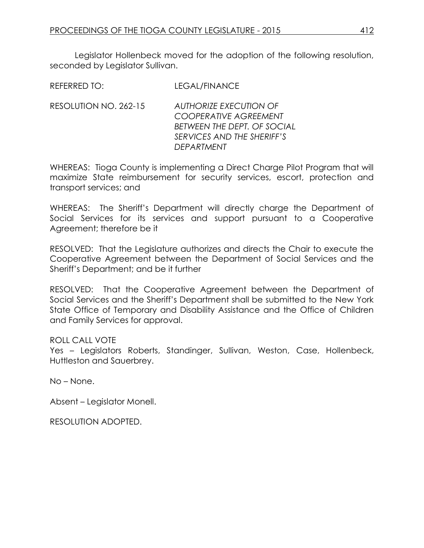Legislator Hollenbeck moved for the adoption of the following resolution, seconded by Legislator Sullivan.

RESOLUTION NO. 262-15 *AUTHORIZE EXECUTION OF COOPERATIVE AGREEMENT BETWEEN THE DEPT. OF SOCIAL SERVICES AND THE SHERIFF'S DEPARTMENT*

WHEREAS: Tioga County is implementing a Direct Charge Pilot Program that will maximize State reimbursement for security services, escort, protection and transport services; and

WHEREAS: The Sheriff's Department will directly charge the Department of Social Services for its services and support pursuant to a Cooperative Agreement; therefore be it

RESOLVED: That the Legislature authorizes and directs the Chair to execute the Cooperative Agreement between the Department of Social Services and the Sheriff's Department; and be it further

RESOLVED: That the Cooperative Agreement between the Department of Social Services and the Sheriff's Department shall be submitted to the New York State Office of Temporary and Disability Assistance and the Office of Children and Family Services for approval.

# ROLL CALL VOTE

Yes – Legislators Roberts, Standinger, Sullivan, Weston, Case, Hollenbeck, Huttleston and Sauerbrey.

No – None.

Absent – Legislator Monell.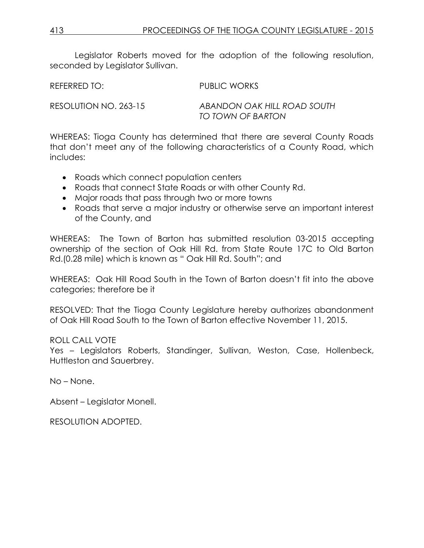Legislator Roberts moved for the adoption of the following resolution, seconded by Leaislator Sullivan.

REFERRED TO: PUBLIC WORKS

RESOLUTION NO. 263-15 *ABANDON OAK HILL ROAD SOUTH TO TOWN OF BARTON*

WHEREAS: Tioga County has determined that there are several County Roads that don't meet any of the following characteristics of a County Road, which includes:

- Roads which connect population centers
- Roads that connect State Roads or with other County Rd.
- Major roads that pass through two or more towns
- Roads that serve a major industry or otherwise serve an important interest of the County, and

WHEREAS: The Town of Barton has submitted resolution 03-2015 accepting ownership of the section of Oak Hill Rd. from State Route 17C to Old Barton Rd.(0.28 mile) which is known as " Oak Hill Rd. South"; and

WHEREAS: Oak Hill Road South in the Town of Barton doesn't fit into the above categories; therefore be it

RESOLVED: That the Tioga County Legislature hereby authorizes abandonment of Oak Hill Road South to the Town of Barton effective November 11, 2015.

ROLL CALL VOTE

Yes – Legislators Roberts, Standinger, Sullivan, Weston, Case, Hollenbeck, Huttleston and Sauerbrey.

No – None.

Absent – Legislator Monell.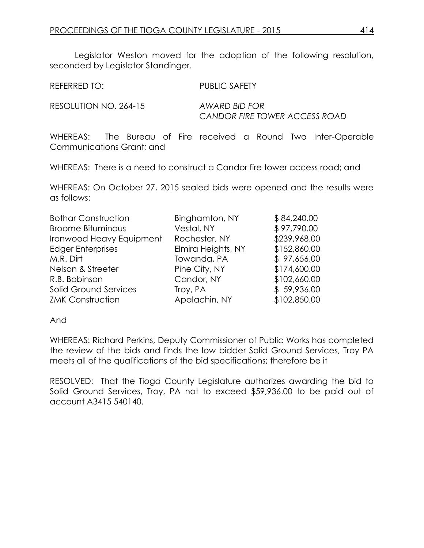Legislator Weston moved for the adoption of the following resolution, seconded by Legislator Standinger.

REFERRED TO: PUBLIC SAFETY

RESOLUTION NO. 264-15 *AWARD BID FOR*

*CANDOR FIRE TOWER ACCESS ROAD*

WHEREAS: The Bureau of Fire received a Round Two Inter-Operable Communications Grant; and

WHEREAS: There is a need to construct a Candor fire tower access road; and

WHEREAS: On October 27, 2015 sealed bids were opened and the results were as follows:

| <b>Bothar Construction</b>   | Binghamton, NY     | \$84,240.00  |
|------------------------------|--------------------|--------------|
| <b>Broome Bituminous</b>     | Vestal, NY         | \$97,790.00  |
| Ironwood Heavy Equipment     | Rochester, NY      | \$239,968.00 |
| <b>Edger Enterprises</b>     | Elmira Heights, NY | \$152,860.00 |
| M.R. Dirt                    | Towanda, PA        | \$97,656.00  |
| Nelson & Streeter            | Pine City, NY      | \$174,600.00 |
| R.B. Bobinson                | Candor, NY         | \$102,660.00 |
| <b>Solid Ground Services</b> | Troy, PA           | \$59,936.00  |
| <b>ZMK Construction</b>      | Apalachin, NY      | \$102,850.00 |

And

WHEREAS: Richard Perkins, Deputy Commissioner of Public Works has completed the review of the bids and finds the low bidder Solid Ground Services, Troy PA meets all of the qualifications of the bid specifications; therefore be it

RESOLVED: That the Tioga County Legislature authorizes awarding the bid to Solid Ground Services, Troy, PA not to exceed \$59,936.00 to be paid out of account A3415 540140.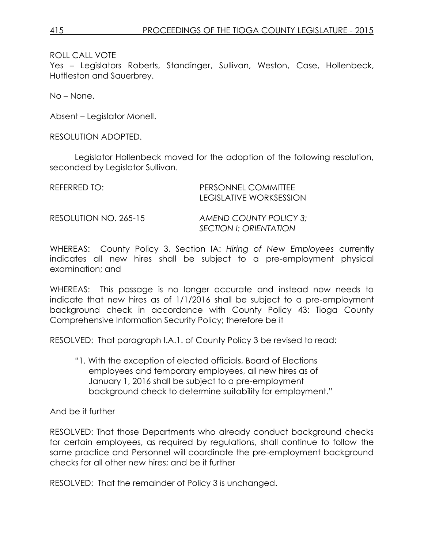Yes – Legislators Roberts, Standinger, Sullivan, Weston, Case, Hollenbeck, Huttleston and Sauerbrey.

No – None.

Absent – Legislator Monell.

RESOLUTION ADOPTED.

Legislator Hollenbeck moved for the adoption of the following resolution, seconded by Legislator Sullivan.

| REFERRED TO:          | PERSONNEL COMMITTEE<br>LEGISLATIVE WORKSESSION          |
|-----------------------|---------------------------------------------------------|
| RESOLUTION NO. 265-15 | AMEND COUNTY POLICY 3:<br><b>SECTION I: ORIENTATION</b> |

WHEREAS: County Policy 3, Section IA: *Hiring of New Employees* currently indicates all new hires shall be subject to a pre-employment physical examination; and

WHEREAS: This passage is no longer accurate and instead now needs to indicate that new hires as of 1/1/2016 shall be subject to a pre-employment background check in accordance with County Policy 43: Tioga County Comprehensive Information Security Policy; therefore be it

RESOLVED: That paragraph I.A.1. of County Policy 3 be revised to read:

"1. With the exception of elected officials, Board of Elections employees and temporary employees, all new hires as of January 1, 2016 shall be subject to a pre-employment background check to determine suitability for employment."

And be it further

RESOLVED: That those Departments who already conduct background checks for certain employees, as required by regulations, shall continue to follow the same practice and Personnel will coordinate the pre-employment background checks for all other new hires; and be it further

RESOLVED: That the remainder of Policy 3 is unchanged.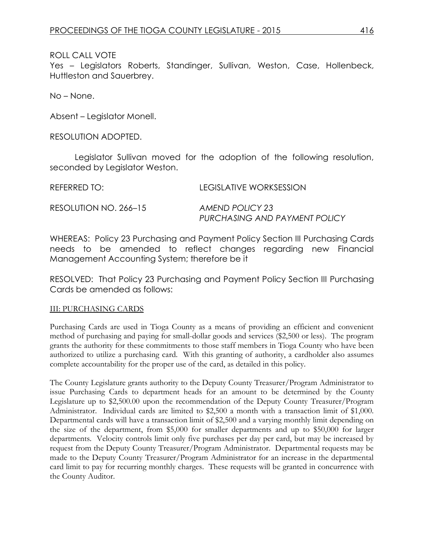Yes – Legislators Roberts, Standinger, Sullivan, Weston, Case, Hollenbeck, Huttleston and Sauerbrey.

No – None.

Absent – Legislator Monell.

RESOLUTION ADOPTED.

Legislator Sullivan moved for the adoption of the following resolution, seconded by Legislator Weston.

| REFERRED TO:          | LEGISLATIVE WORKSESSION       |
|-----------------------|-------------------------------|
| RESOLUTION NO. 266–15 | AMEND POLICY 23               |
|                       | PURCHASING AND PAYMENT POLICY |

WHEREAS: Policy 23 Purchasing and Payment Policy Section III Purchasing Cards needs to be amended to reflect changes regarding new Financial Management Accounting System; therefore be it

RESOLVED: That Policy 23 Purchasing and Payment Policy Section III Purchasing Cards be amended as follows:

#### III: PURCHASING CARDS

Purchasing Cards are used in Tioga County as a means of providing an efficient and convenient method of purchasing and paying for small-dollar goods and services (\$2,500 or less). The program grants the authority for these commitments to those staff members in Tioga County who have been authorized to utilize a purchasing card. With this granting of authority, a cardholder also assumes complete accountability for the proper use of the card, as detailed in this policy.

The County Legislature grants authority to the Deputy County Treasurer/Program Administrator to issue Purchasing Cards to department heads for an amount to be determined by the County Legislature up to \$2,500.00 upon the recommendation of the Deputy County Treasurer/Program Administrator. Individual cards are limited to \$2,500 a month with a transaction limit of \$1,000. Departmental cards will have a transaction limit of \$2,500 and a varying monthly limit depending on the size of the department, from \$5,000 for smaller departments and up to \$50,000 for larger departments. Velocity controls limit only five purchases per day per card, but may be increased by request from the Deputy County Treasurer/Program Administrator. Departmental requests may be made to the Deputy County Treasurer/Program Administrator for an increase in the departmental card limit to pay for recurring monthly charges. These requests will be granted in concurrence with the County Auditor.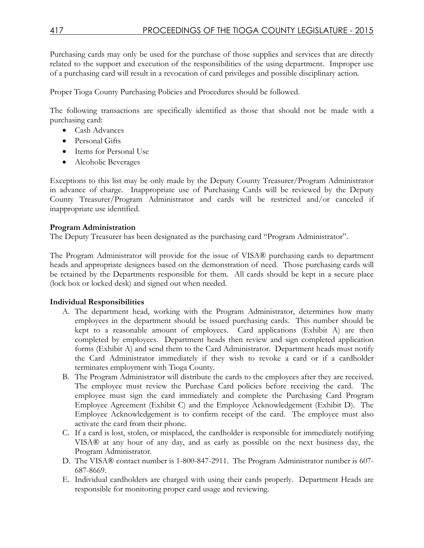Purchasing cards may only be used for the purchase of those supplies and services that are directly related to the support and execution of the responsibilities of the using department. Improper use of a purchasing card will result in a revocation of card privileges and possible disciplinary action.

Proper Tioga County Purchasing Policies and Procedures should be followed.

The following transactions are specifically identified as those that should not be made with a purchasing card:

- Cash Advances
- Personal Gifts
- Items for Personal Use
- Alcoholic Beverages

Exceptions to this list may be only made by the Deputy County Treasurer/Program Administrator in advance of charge. Inappropriate use of Purchasing Cards will be reviewed by the Deputy County Treasurer/Program Administrator and cards will be restricted and/or canceled if inappropriate use identified.

#### **Program Administration**

The Deputy Treasurer has been designated as the purchasing card "Program Administrator".

The Program Administrator will provide for the issue of VISA® purchasing cards to department heads and appropriate designees based on the demonstration of need. Those purchasing cards will be retained by the Departments responsible for them. All cards should be kept in a secure place (lock box or locked desk) and signed out when needed.

#### **Individual Responsibilities**

- A. The department head, working with the Program Administrator, determines how many employees in the department should be issued purchasing cards. This number should be kept to a reasonable amount of employees. Card applications (Exhibit A) are then completed by employees. Department heads then review and sign completed application forms (Exhibit A) and send them to the Card Administrator. Department heads must notify the Card Administrator immediately if they wish to revoke a card or if a cardholder terminates employment with Tioga County.
- B. The Program Administrator will distribute the cards to the employees after they are received. The employee must review the Purchase Card policies before receiving the card. The employee must sign the card immediately and complete the Purchasing Card Program Employee Agreement (Exhibit C) and the Employee Acknowledgement (Exhibit D). The Employee Acknowledgement is to confirm receipt of the card. The employee must also activate the card from their phone.
- C. If a card is lost, stolen, or misplaced, the cardholder is responsible for immediately notifying VISA® at any hour of any day, and as early as possible on the next business day, the Program Administrator.
- D. The VISA® contact number is 1-800-847-2911. The Program Administrator number is 607- 687-8669.
- E. Individual cardholders are charged with using their cards properly. Department Heads are responsible for monitoring proper card usage and reviewing.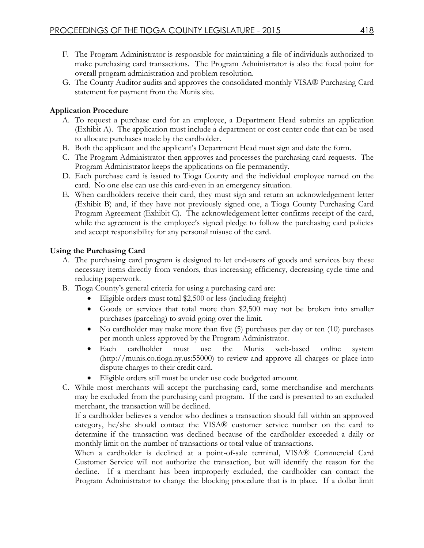- F. The Program Administrator is responsible for maintaining a file of individuals authorized to make purchasing card transactions. The Program Administrator is also the focal point for overall program administration and problem resolution.
- G. The County Auditor audits and approves the consolidated monthly VISA® Purchasing Card statement for payment from the Munis site.

# **Application Procedure**

- A. To request a purchase card for an employee, a Department Head submits an application (Exhibit A). The application must include a department or cost center code that can be used to allocate purchases made by the cardholder.
- B. Both the applicant and the applicant's Department Head must sign and date the form.
- C. The Program Administrator then approves and processes the purchasing card requests. The Program Administrator keeps the applications on file permanently.
- D. Each purchase card is issued to Tioga County and the individual employee named on the card. No one else can use this card-even in an emergency situation.
- E. When cardholders receive their card, they must sign and return an acknowledgement letter (Exhibit B) and, if they have not previously signed one, a Tioga County Purchasing Card Program Agreement (Exhibit C). The acknowledgement letter confirms receipt of the card, while the agreement is the employee's signed pledge to follow the purchasing card policies and accept responsibility for any personal misuse of the card.

# **Using the Purchasing Card**

- A. The purchasing card program is designed to let end-users of goods and services buy these necessary items directly from vendors, thus increasing efficiency, decreasing cycle time and reducing paperwork.
- B. Tioga County's general criteria for using a purchasing card are:
	- Eligible orders must total \$2,500 or less (including freight)
	- Goods or services that total more than \$2,500 may not be broken into smaller purchases (parceling) to avoid going over the limit.
	- No cardholder may make more than five (5) purchases per day or ten (10) purchases per month unless approved by the Program Administrator.
	- Each cardholder must use the Munis web-based online system (http://munis.co.tioga.ny.us:55000) to review and approve all charges or place into dispute charges to their credit card.
	- Eligible orders still must be under use code budgeted amount.
- C. While most merchants will accept the purchasing card, some merchandise and merchants may be excluded from the purchasing card program. If the card is presented to an excluded merchant, the transaction will be declined.

If a cardholder believes a vendor who declines a transaction should fall within an approved category, he/she should contact the VISA® customer service number on the card to determine if the transaction was declined because of the cardholder exceeded a daily or monthly limit on the number of transactions or total value of transactions.

When a cardholder is declined at a point-of-sale terminal, VISA® Commercial Card Customer Service will not authorize the transaction, but will identify the reason for the decline. If a merchant has been improperly excluded, the cardholder can contact the Program Administrator to change the blocking procedure that is in place. If a dollar limit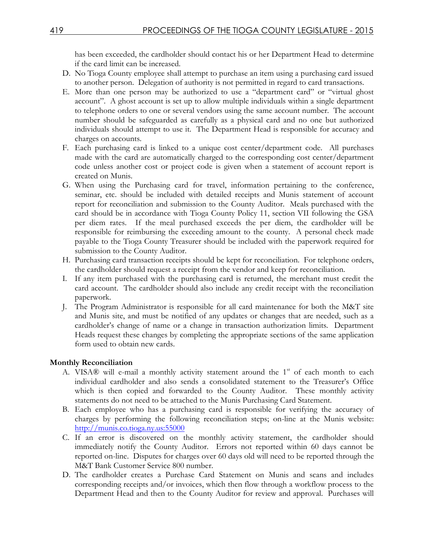has been exceeded, the cardholder should contact his or her Department Head to determine if the card limit can be increased.

- D. No Tioga County employee shall attempt to purchase an item using a purchasing card issued to another person. Delegation of authority is not permitted in regard to card transactions.
- E. More than one person may be authorized to use a "department card" or "virtual ghost account". A ghost account is set up to allow multiple individuals within a single department to telephone orders to one or several vendors using the same account number. The account number should be safeguarded as carefully as a physical card and no one but authorized individuals should attempt to use it. The Department Head is responsible for accuracy and charges on accounts.
- F. Each purchasing card is linked to a unique cost center/department code. All purchases made with the card are automatically charged to the corresponding cost center/department code unless another cost or project code is given when a statement of account report is created on Munis.
- G. When using the Purchasing card for travel, information pertaining to the conference, seminar, etc. should be included with detailed receipts and Munis statement of account report for reconciliation and submission to the County Auditor. Meals purchased with the card should be in accordance with Tioga County Policy 11, section VII following the GSA per diem rates. If the meal purchased exceeds the per diem, the cardholder will be responsible for reimbursing the exceeding amount to the county. A personal check made payable to the Tioga County Treasurer should be included with the paperwork required for submission to the County Auditor.
- H. Purchasing card transaction receipts should be kept for reconciliation. For telephone orders, the cardholder should request a receipt from the vendor and keep for reconciliation.
- I. If any item purchased with the purchasing card is returned, the merchant must credit the card account. The cardholder should also include any credit receipt with the reconciliation paperwork.
- J. The Program Administrator is responsible for all card maintenance for both the M&T site and Munis site, and must be notified of any updates or changes that are needed, such as a cardholder's change of name or a change in transaction authorization limits. Department Heads request these changes by completing the appropriate sections of the same application form used to obtain new cards.

#### **Monthly Reconciliation**

- A. VISA® will e-mail a monthly activity statement around the  $1<sup>st</sup>$  of each month to each individual cardholder and also sends a consolidated statement to the Treasurer's Office which is then copied and forwarded to the County Auditor. These monthly activity statements do not need to be attached to the Munis Purchasing Card Statement.
- B. Each employee who has a purchasing card is responsible for verifying the accuracy of charges by performing the following reconciliation steps; on-line at the Munis website: [http://munis.co.tioga.ny.us:55000](http://munis.co.tioga.ny.us:55000/)
- C. If an error is discovered on the monthly activity statement, the cardholder should immediately notify the County Auditor. Errors not reported within 60 days cannot be reported on-line. Disputes for charges over 60 days old will need to be reported through the M&T Bank Customer Service 800 number.
- D. The cardholder creates a Purchase Card Statement on Munis and scans and includes corresponding receipts and/or invoices, which then flow through a workflow process to the Department Head and then to the County Auditor for review and approval. Purchases will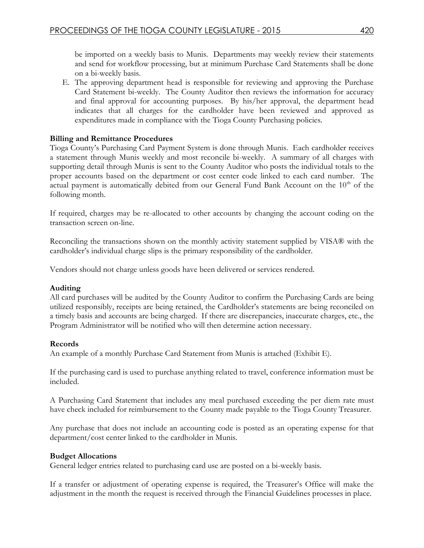be imported on a weekly basis to Munis. Departments may weekly review their statements and send for workflow processing, but at minimum Purchase Card Statements shall be done on a bi-weekly basis.

E. The approving department head is responsible for reviewing and approving the Purchase Card Statement bi-weekly. The County Auditor then reviews the information for accuracy and final approval for accounting purposes. By his/her approval, the department head indicates that all charges for the cardholder have been reviewed and approved as expenditures made in compliance with the Tioga County Purchasing policies.

#### **Billing and Remittance Procedures**

Tioga County's Purchasing Card Payment System is done through Munis. Each cardholder receives a statement through Munis weekly and most reconcile bi-weekly. A summary of all charges with supporting detail through Munis is sent to the County Auditor who posts the individual totals to the proper accounts based on the department or cost center code linked to each card number. The actual payment is automatically debited from our General Fund Bank Account on the  $10<sup>th</sup>$  of the following month.

If required, charges may be re-allocated to other accounts by changing the account coding on the transaction screen on-line.

Reconciling the transactions shown on the monthly activity statement supplied by VISA® with the cardholder's individual charge slips is the primary responsibility of the cardholder.

Vendors should not charge unless goods have been delivered or services rendered.

#### **Auditing**

All card purchases will be audited by the County Auditor to confirm the Purchasing Cards are being utilized responsibly, receipts are being retained, the Cardholder's statements are being reconciled on a timely basis and accounts are being charged. If there are discrepancies, inaccurate charges, etc., the Program Administrator will be notified who will then determine action necessary.

#### **Records**

An example of a monthly Purchase Card Statement from Munis is attached (Exhibit E).

If the purchasing card is used to purchase anything related to travel, conference information must be included.

A Purchasing Card Statement that includes any meal purchased exceeding the per diem rate must have check included for reimbursement to the County made payable to the Tioga County Treasurer.

Any purchase that does not include an accounting code is posted as an operating expense for that department/cost center linked to the cardholder in Munis.

#### **Budget Allocations**

General ledger entries related to purchasing card use are posted on a bi-weekly basis.

If a transfer or adjustment of operating expense is required, the Treasurer's Office will make the adjustment in the month the request is received through the Financial Guidelines processes in place.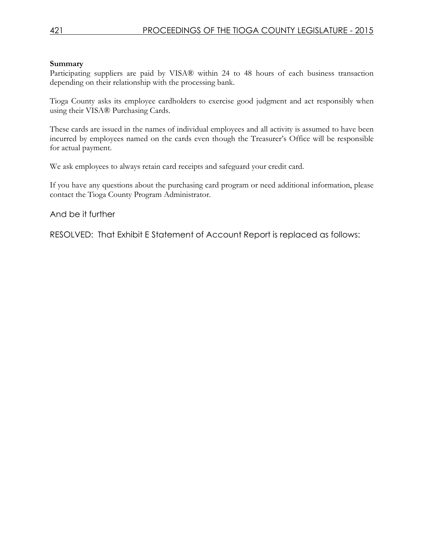#### **Summary**

Participating suppliers are paid by VISA® within 24 to 48 hours of each business transaction depending on their relationship with the processing bank.

Tioga County asks its employee cardholders to exercise good judgment and act responsibly when using their VISA® Purchasing Cards.

These cards are issued in the names of individual employees and all activity is assumed to have been incurred by employees named on the cards even though the Treasurer's Office will be responsible for actual payment.

We ask employees to always retain card receipts and safeguard your credit card.

If you have any questions about the purchasing card program or need additional information, please contact the Tioga County Program Administrator.

# And be it further

RESOLVED: That Exhibit E Statement of Account Report is replaced as follows: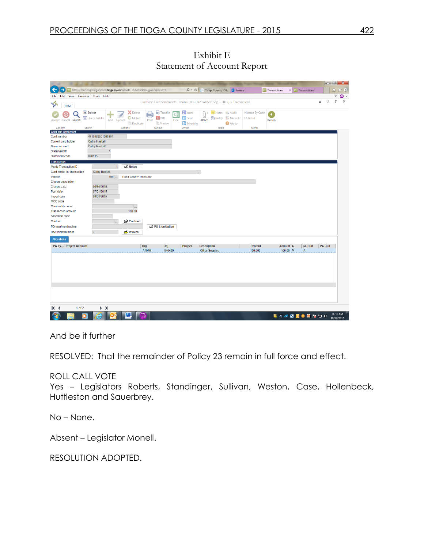Exhibit E Statement of Account Report

|                                     |                                                                       | <b>MAG</b>                                          |       |                                                                     |                                                                    |                                                                            |                     |                                      |                           |                     |                 |               |                        |
|-------------------------------------|-----------------------------------------------------------------------|-----------------------------------------------------|-------|---------------------------------------------------------------------|--------------------------------------------------------------------|----------------------------------------------------------------------------|---------------------|--------------------------------------|---------------------------|---------------------|-----------------|---------------|------------------------|
|                                     | http://munissql.tioganet.co.tioga.ny.us/GasADTEST/wa/r/mugwc/appcstmt |                                                     |       |                                                                     | $Q - C$                                                            | Tioga County IOB 5 Home                                                    |                     |                                      | <b>Mille Transactions</b> | $\times$            | mu Transactions |               | ίm                     |
| File Edit View Favorites Tools Help |                                                                       |                                                     |       |                                                                     |                                                                    |                                                                            |                     |                                      |                           |                     |                 |               | х                      |
|                                     |                                                                       |                                                     |       |                                                                     |                                                                    | Purchase Card Statements - Munis [TEST DATABASE Sep 1 2015] > Transactions |                     |                                      |                           |                     |                 | ۵             | $\Omega$<br>$\sqrt{2}$ |
| ❖<br><b>HOME</b>                    |                                                                       |                                                     |       |                                                                     |                                                                    |                                                                            |                     |                                      |                           |                     |                 |               |                        |
| Accept Cancel Search                | <b>E</b> Browse<br>Query Builder<br>Add Update                        | <b>X</b> Delete<br>Global <sup>+</sup><br>Duplicate | Print | <b>B</b> Text file<br>k‡<br><b>人</b> PDF<br><b><i>Q</i></b> Preview | <b>Will Word</b><br><b>Da</b> Email<br>Excel<br><b>DD</b> Schedule | <b>Notes</b> Audit<br>$[0]^2$<br>Motify H Maplink-<br>Attach               | Alerts <sup>+</sup> | Allocate By Code<br><b>FA Detail</b> | ۰<br>Return               |                     |                 |               |                        |
| Confirm                             | Search                                                                | Actions                                             |       | Output                                                              | Office                                                             | Tools                                                                      |                     | Menu                                 |                           |                     |                 |               |                        |
| Card and Statement<br>Card number   | 4715562551000364                                                      |                                                     |       |                                                                     |                                                                    |                                                                            |                     |                                      |                           |                     |                 |               |                        |
| <b>Current card holder</b>          | <b>Cathy Haskell</b>                                                  |                                                     |       |                                                                     |                                                                    |                                                                            |                     |                                      |                           |                     |                 |               |                        |
| Name on card                        | Cathy Haskell'                                                        |                                                     |       |                                                                     |                                                                    |                                                                            |                     |                                      |                           |                     |                 |               |                        |
| Statement ID                        |                                                                       |                                                     |       |                                                                     |                                                                    |                                                                            |                     |                                      |                           |                     |                 |               |                        |
| Statement code                      | 070115                                                                |                                                     |       |                                                                     |                                                                    |                                                                            |                     |                                      |                           |                     |                 |               |                        |
| <b>Transaction</b>                  |                                                                       |                                                     |       |                                                                     |                                                                    |                                                                            |                     |                                      |                           |                     |                 |               |                        |
| <b>Munis Transaction ID</b>         | $\overline{1}$                                                        | <b>Notes</b>                                        |       |                                                                     |                                                                    |                                                                            |                     |                                      |                           |                     |                 |               |                        |
| Card holder for transaction         | <b>Cathy Haskell</b>                                                  |                                                     |       |                                                                     |                                                                    | $\ldots$                                                                   |                     |                                      |                           |                     |                 |               |                        |
| Vendor                              | $106$                                                                 | <b>Tioga County Treasurer</b>                       |       |                                                                     |                                                                    |                                                                            |                     |                                      |                           |                     |                 |               |                        |
| Charge description                  |                                                                       |                                                     |       |                                                                     |                                                                    |                                                                            |                     |                                      |                           |                     |                 |               |                        |
| Charge date                         | 06/30/2015                                                            |                                                     |       |                                                                     |                                                                    |                                                                            |                     |                                      |                           |                     |                 |               |                        |
| Post date                           | 07/01/2015                                                            |                                                     |       |                                                                     |                                                                    |                                                                            |                     |                                      |                           |                     |                 |               |                        |
| Import date                         | 09/08/2015                                                            |                                                     |       |                                                                     |                                                                    |                                                                            |                     |                                      |                           |                     |                 |               |                        |
| MCC code                            |                                                                       |                                                     |       |                                                                     |                                                                    |                                                                            |                     |                                      |                           |                     |                 |               |                        |
| Commodity code                      |                                                                       | $\overline{\phantom{a}}$                            |       |                                                                     |                                                                    |                                                                            |                     |                                      |                           |                     |                 |               |                        |
| <b>Transaction amount</b>           |                                                                       | 100.00                                              |       |                                                                     |                                                                    |                                                                            |                     |                                      |                           |                     |                 |               |                        |
| <b>Allocation code</b>              |                                                                       |                                                     |       |                                                                     |                                                                    |                                                                            |                     |                                      |                           |                     |                 |               |                        |
| Contract                            | $\overline{\phantom{a}}$                                              | Contract                                            |       |                                                                     |                                                                    |                                                                            |                     |                                      |                           |                     |                 |               |                        |
| PO year/number/line                 |                                                                       |                                                     |       | PO Liquidation                                                      |                                                                    |                                                                            |                     |                                      |                           |                     |                 |               |                        |
| Document number                     | $\overline{3}$                                                        | invoice                                             |       |                                                                     |                                                                    |                                                                            |                     |                                      |                           |                     |                 |               |                        |
| <b>Allocations</b>                  |                                                                       |                                                     |       |                                                                     |                                                                    |                                                                            |                     |                                      |                           |                     |                 |               |                        |
| PA Ty Project Account               |                                                                       |                                                     | Org   | Obj                                                                 | Project                                                            | <b>Description</b>                                                         |                     | Percent                              |                           | Amount <sub>A</sub> | <b>GL Bud</b>   | <b>PA Bud</b> |                        |
|                                     |                                                                       |                                                     | A1010 | 540420                                                              |                                                                    | Office Supplies                                                            |                     | 100.000                              |                           | 100.00 N            | $\mathbb A$     |               |                        |

And be it further

RESOLVED: That the remainder of Policy 23 remain in full force and effect.

ROLL CALL VOTE

Yes – Legislators Roberts, Standinger, Sullivan, Weston, Case, Hollenbeck, Huttleston and Sauerbrey.

No – None.

Absent – Legislator Monell.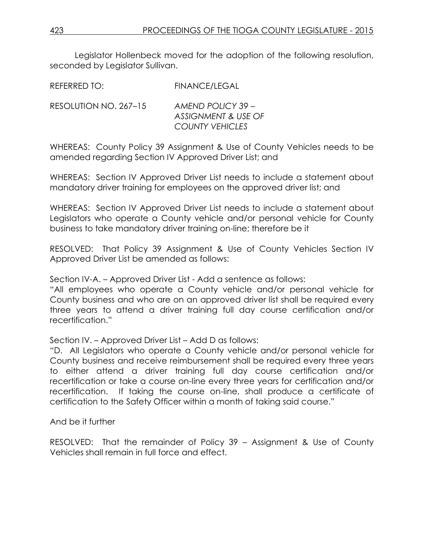Legislator Hollenbeck moved for the adoption of the following resolution, seconded by Legislator Sullivan.

REFERRED TO: FINANCE/LEGAL

| RESOLUTION NO. 267–15 | AMEND POLICY 39 -              |
|-----------------------|--------------------------------|
|                       | <b>ASSIGNMENT &amp; USE OF</b> |
|                       | <b>COUNTY VEHICLES</b>         |

WHEREAS: County Policy 39 Assignment & Use of County Vehicles needs to be amended regarding Section IV Approved Driver List; and

WHEREAS: Section IV Approved Driver List needs to include a statement about mandatory driver training for employees on the approved driver list; and

WHEREAS: Section IV Approved Driver List needs to include a statement about Legislators who operate a County vehicle and/or personal vehicle for County business to take mandatory driver training on-line; therefore be it

RESOLVED: That Policy 39 Assignment & Use of County Vehicles Section IV Approved Driver List be amended as follows:

Section IV-A. – Approved Driver List - Add a sentence as follows:

"All employees who operate a County vehicle and/or personal vehicle for County business and who are on an approved driver list shall be required every three years to attend a driver training full day course certification and/or recertification."

Section IV. – Approved Driver List – Add D as follows:

"D. All Legislators who operate a County vehicle and/or personal vehicle for County business and receive reimbursement shall be required every three years to either attend a driver training full day course certification and/or recertification or take a course on-line every three years for certification and/or recertification. If taking the course on-line, shall produce a certificate of certification to the Safety Officer within a month of taking said course."

And be it further

RESOLVED: That the remainder of Policy 39 – Assignment & Use of County Vehicles shall remain in full force and effect.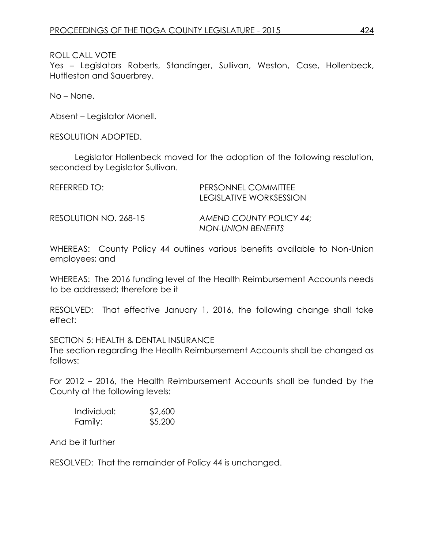Yes – Legislators Roberts, Standinger, Sullivan, Weston, Case, Hollenbeck, Huttleston and Sauerbrey.

No – None.

Absent – Legislator Monell.

RESOLUTION ADOPTED.

Legislator Hollenbeck moved for the adoption of the following resolution, seconded by Legislator Sullivan.

| REFERRED TO:          | PERSONNEL COMMITTEE<br>LEGISLATIVE WORKSESSION       |
|-----------------------|------------------------------------------------------|
| RESOLUTION NO. 268-15 | AMEND COUNTY POLICY 44:<br><b>NON-UNION BENEFITS</b> |

WHEREAS: County Policy 44 outlines various benefits available to Non-Union employees; and

WHEREAS: The 2016 funding level of the Health Reimbursement Accounts needs to be addressed; therefore be it

RESOLVED: That effective January 1, 2016, the following change shall take effect:

SECTION 5: HEALTH & DENTAL INSURANCE The section regarding the Health Reimbursement Accounts shall be changed as follows:

For 2012 – 2016, the Health Reimbursement Accounts shall be funded by the County at the following levels:

| Individual: | \$2,600 |
|-------------|---------|
| Family:     | \$5,200 |

And be it further

RESOLVED: That the remainder of Policy 44 is unchanged.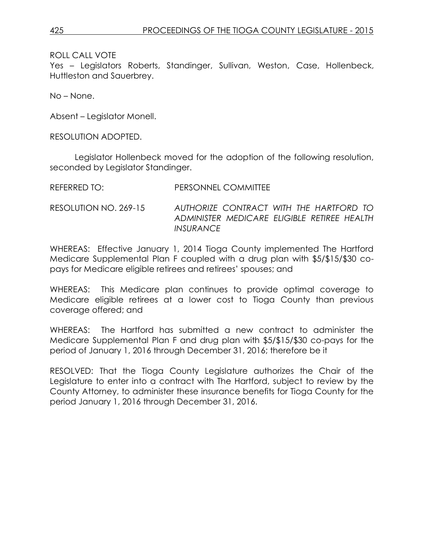Yes – Legislators Roberts, Standinger, Sullivan, Weston, Case, Hollenbeck, Huttleston and Sauerbrey.

No – None.

Absent – Legislator Monell.

RESOLUTION ADOPTED.

Legislator Hollenbeck moved for the adoption of the following resolution, seconded by Legislator Standinger.

| REFERRED TO: | <b>PERSONNEL COMMITTEE</b> |
|--------------|----------------------------|
|              |                            |

RESOLUTION NO. 269-15 *AUTHORIZE CONTRACT WITH THE HARTFORD TO ADMINISTER MEDICARE ELIGIBLE RETIREE HEALTH INSURANCE*

WHEREAS: Effective January 1, 2014 Tioga County implemented The Hartford Medicare Supplemental Plan F coupled with a drug plan with \$5/\$15/\$30 copays for Medicare eligible retirees and retirees' spouses; and

WHEREAS: This Medicare plan continues to provide optimal coverage to Medicare eligible retirees at a lower cost to Tioga County than previous coverage offered; and

WHEREAS: The Hartford has submitted a new contract to administer the Medicare Supplemental Plan F and drug plan with \$5/\$15/\$30 co-pays for the period of January 1, 2016 through December 31, 2016; therefore be it

RESOLVED: That the Tioga County Legislature authorizes the Chair of the Legislature to enter into a contract with The Hartford, subject to review by the County Attorney, to administer these insurance benefits for Tioga County for the period January 1, 2016 through December 31, 2016.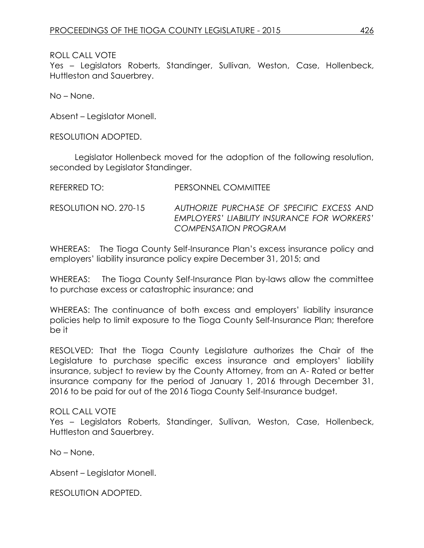Yes – Legislators Roberts, Standinger, Sullivan, Weston, Case, Hollenbeck, Huttleston and Sauerbrey.

No – None.

Absent – Legislator Monell.

RESOLUTION ADOPTED.

Legislator Hollenbeck moved for the adoption of the following resolution, seconded by Legislator Standinger.

| REFERRED TO: | <b>PERSONNEL COMMITTEE</b> |  |
|--------------|----------------------------|--|
|              |                            |  |

RESOLUTION NO. 270-15 *AUTHORIZE PURCHASE OF SPECIFIC EXCESS AND EMPLOYERS' LIABILITY INSURANCE FOR WORKERS' COMPENSATION PROGRAM*

WHEREAS: The Tioga County Self-Insurance Plan's excess insurance policy and employers' liability insurance policy expire December 31, 2015; and

WHEREAS: The Tioga County Self-Insurance Plan by-laws allow the committee to purchase excess or catastrophic insurance; and

WHEREAS: The continuance of both excess and employers' liability insurance policies help to limit exposure to the Tioga County Self-Insurance Plan; therefore be it

RESOLVED: That the Tioga County Legislature authorizes the Chair of the Legislature to purchase specific excess insurance and employers' liability insurance, subject to review by the County Attorney, from an A- Rated or better insurance company for the period of January 1, 2016 through December 31, 2016 to be paid for out of the 2016 Tioga County Self-Insurance budget.

### ROLL CALL VOTE

Yes – Legislators Roberts, Standinger, Sullivan, Weston, Case, Hollenbeck, Huttleston and Sauerbrey.

No – None.

Absent – Legislator Monell.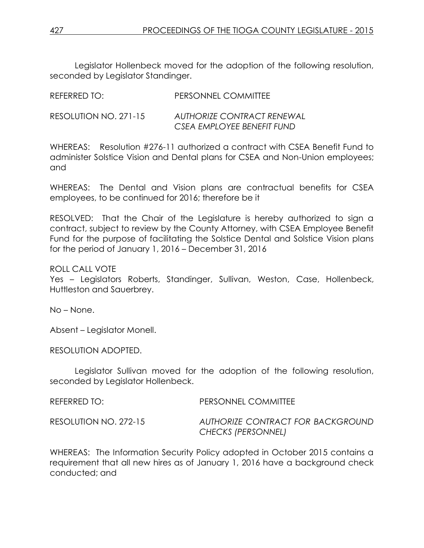Legislator Hollenbeck moved for the adoption of the following resolution, seconded by Legislator Standinger.

| NLI LNNLD TV.         | T LINJOINNEL COMMUTEL      |
|-----------------------|----------------------------|
| RESOLUTION NO. 271-15 | AUTHORIZE CONTRACT RENEWAL |
|                       | CSEA EMPLOYEE BENEFIT FUND |

REFERRED TO: PERSONNEL COMMITTEE

WHEREAS: Resolution #276-11 authorized a contract with CSEA Benefit Fund to administer Solstice Vision and Dental plans for CSEA and Non-Union employees; and

WHEREAS: The Dental and Vision plans are contractual benefits for CSEA employees, to be continued for 2016; therefore be it

RESOLVED: That the Chair of the Legislature is hereby authorized to sign a contract, subject to review by the County Attorney, with CSEA Employee Benefit Fund for the purpose of facilitating the Solstice Dental and Solstice Vision plans for the period of January 1, 2016 – December 31, 2016

ROLL CALL VOTE

Yes – Legislators Roberts, Standinger, Sullivan, Weston, Case, Hollenbeck, Huttleston and Sauerbrey.

No – None.

Absent – Legislator Monell.

RESOLUTION ADOPTED.

Legislator Sullivan moved for the adoption of the following resolution, seconded by Legislator Hollenbeck.

| REFERRED TO:          | <b>PERSONNEL COMMITTEE</b>                              |
|-----------------------|---------------------------------------------------------|
| RESOLUTION NO. 272-15 | AUTHORIZE CONTRACT FOR BACKGROUND<br>CHECKS (PERSONNEL) |

WHEREAS: The Information Security Policy adopted in October 2015 contains a requirement that all new hires as of January 1, 2016 have a background check conducted; and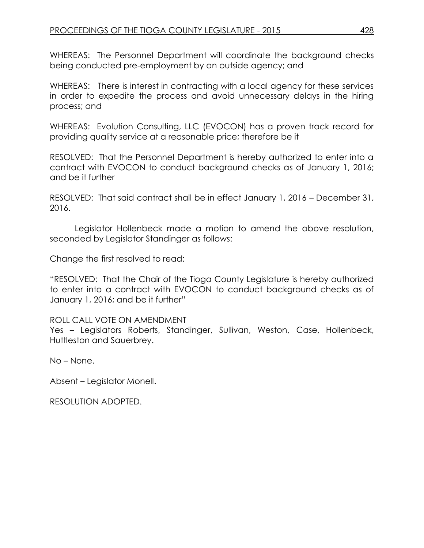WHEREAS: The Personnel Department will coordinate the background checks being conducted pre-employment by an outside agency; and

WHEREAS: There is interest in contracting with a local agency for these services in order to expedite the process and avoid unnecessary delays in the hiring process; and

WHEREAS: Evolution Consulting, LLC (EVOCON) has a proven track record for providing quality service at a reasonable price; therefore be it

RESOLVED: That the Personnel Department is hereby authorized to enter into a contract with EVOCON to conduct background checks as of January 1, 2016; and be it further

RESOLVED: That said contract shall be in effect January 1, 2016 – December 31, 2016.

Legislator Hollenbeck made a motion to amend the above resolution, seconded by Legislator Standinger as follows:

Change the first resolved to read:

"RESOLVED: That the Chair of the Tioga County Legislature is hereby authorized to enter into a contract with EVOCON to conduct background checks as of January 1, 2016; and be it further"

# ROLL CALL VOTE ON AMENDMENT

Yes – Legislators Roberts, Standinger, Sullivan, Weston, Case, Hollenbeck, Huttleston and Sauerbrey.

No – None.

Absent – Legislator Monell.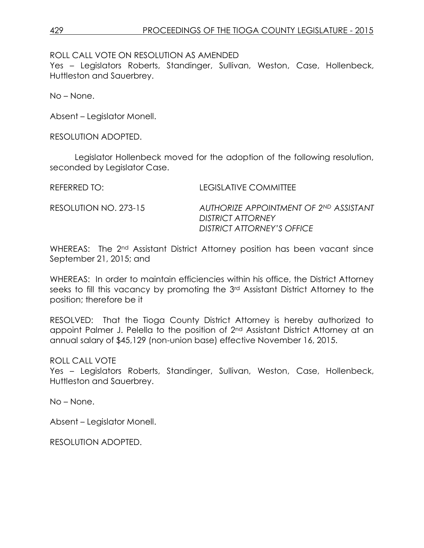ROLL CALL VOTE ON RESOLUTION AS AMENDED

Yes – Legislators Roberts, Standinger, Sullivan, Weston, Case, Hollenbeck, Huttleston and Sauerbrey.

No – None.

Absent – Legislator Monell.

RESOLUTION ADOPTED.

Legislator Hollenbeck moved for the adoption of the following resolution, seconded by Legislator Case.

REFERRED TO: LEGISLATIVE COMMITTEE

RESOLUTION NO. 273-15 *AUTHORIZE APPOINTMENT OF 2ND ASSISTANT DISTRICT ATTORNEY DISTRICT ATTORNEY'S OFFICE*

WHEREAS: The 2<sup>nd</sup> Assistant District Attorney position has been vacant since September 21, 2015; and

WHEREAS: In order to maintain efficiencies within his office, the District Attorney seeks to fill this vacancy by promoting the 3rd Assistant District Attorney to the position; therefore be it

RESOLVED: That the Tioga County District Attorney is hereby authorized to appoint Palmer J. Pelella to the position of 2nd Assistant District Attorney at an annual salary of \$45,129 (non-union base) effective November 16, 2015.

ROLL CALL VOTE

Yes – Legislators Roberts, Standinger, Sullivan, Weston, Case, Hollenbeck, Huttleston and Sauerbrey.

No – None.

Absent – Legislator Monell.